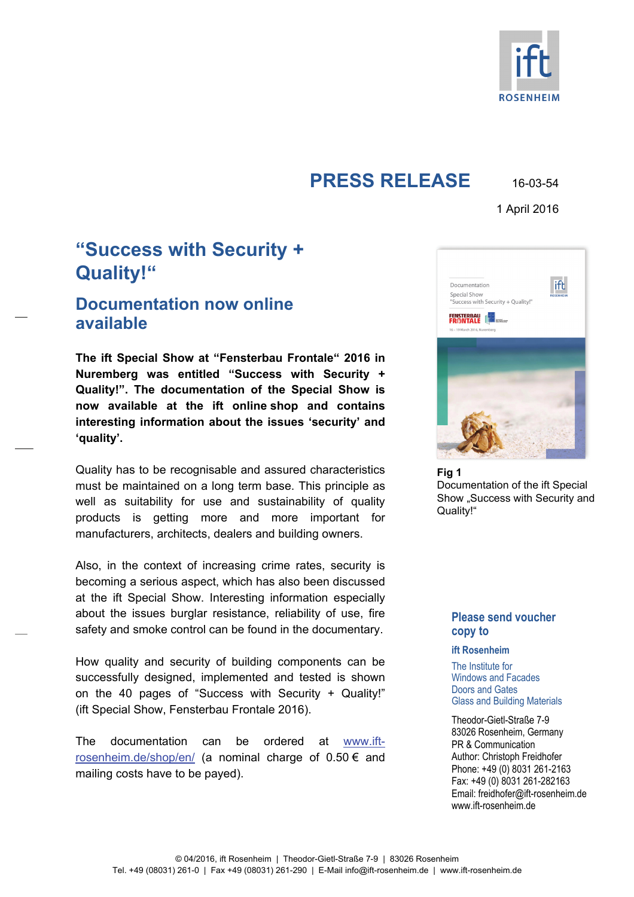

# **PRESS RELEASE** 16-03-54

1 April 2016

# **"Success with Security + Quality!"**

## **Documentation now online available**

**The ift Special Show at "Fensterbau Frontale" 2016 in Nuremberg was entitled "Success with Security + Quality!". The documentation of the Special Show is now available at the ift online shop and contains interesting information about the issues 'security' and 'quality'.** 

Quality has to be recognisable and assured characteristics must be maintained on a long term base. This principle as well as suitability for use and sustainability of quality products is getting more and more important for manufacturers, architects, dealers and building owners.

Also, in the context of increasing crime rates, security is becoming a serious aspect, which has also been discussed at the ift Special Show. Interesting information especially about the issues burglar resistance, reliability of use, fire safety and smoke control can be found in the documentary.

How quality and security of building components can be successfully designed, implemented and tested is shown on the 40 pages of "Success with Security + Quality!" (ift Special Show, Fensterbau Frontale 2016).

The documentation can be ordered at www.ift[rosenheim.de/shop/en/ \(a nominal charge of 0.50 € and](https://www.ift-rosenheim.de/shop/en/documentation-success-with-security-quality)  mailing costs have to be payed).



**Fig 1**  Documentation of the ift Special Show "Success with Security and Quality!"

## **Please send voucher copy to**

#### **ift Rosenheim**

The Institute for Windows and Facades Doors and Gates Glass and Building Materials

Theodor-Gietl-Straße 7-9 83026 Rosenheim, Germany PR & Communication Author: Christoph Freidhofer Phone: +49 (0) 8031 261-2163 Fax: +49 (0) 8031 261-282163 Email: freidhofer@ift-rosenheim.de www.ift-rosenheim.de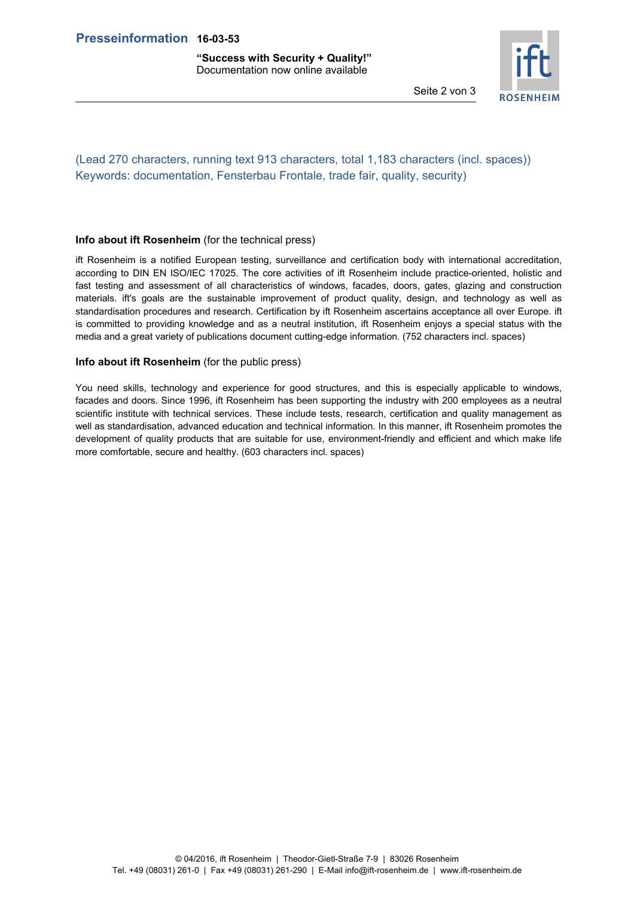**"Success with Security + Quality!"**  Documentation now online available



Seite 2 von 3

## (Lead 270 characters, running text 913 characters, total 1,183 characters (incl. spaces)) Keywords: documentation, Fensterbau Frontale, trade fair, quality, security)

#### **Info about ift Rosenheim** (for the technical press)

ift Rosenheim is a notified European testing, surveillance and certification body with international accreditation, according to DIN EN ISO/IEC 17025. The core activities of ift Rosenheim include practice-oriented, holistic and fast testing and assessment of all characteristics of windows, facades, doors, gates, glazing and construction materials. ift's goals are the sustainable improvement of product quality, design, and technology as well as standardisation procedures and research. Certification by ift Rosenheim ascertains acceptance all over Europe. ift is committed to providing knowledge and as a neutral institution, ift Rosenheim enjoys a special status with the media and a great variety of publications document cutting-edge information. (752 characters incl. spaces)

#### **Info about ift Rosenheim** (for the public press)

You need skills, technology and experience for good structures, and this is especially applicable to windows, facades and doors. Since 1996, ift Rosenheim has been supporting the industry with 200 employees as a neutral scientific institute with technical services. These include tests, research, certification and quality management as well as standardisation, advanced education and technical information. In this manner, ift Rosenheim promotes the development of quality products that are suitable for use, environment-friendly and efficient and which make life more comfortable, secure and healthy. (603 characters incl. spaces)